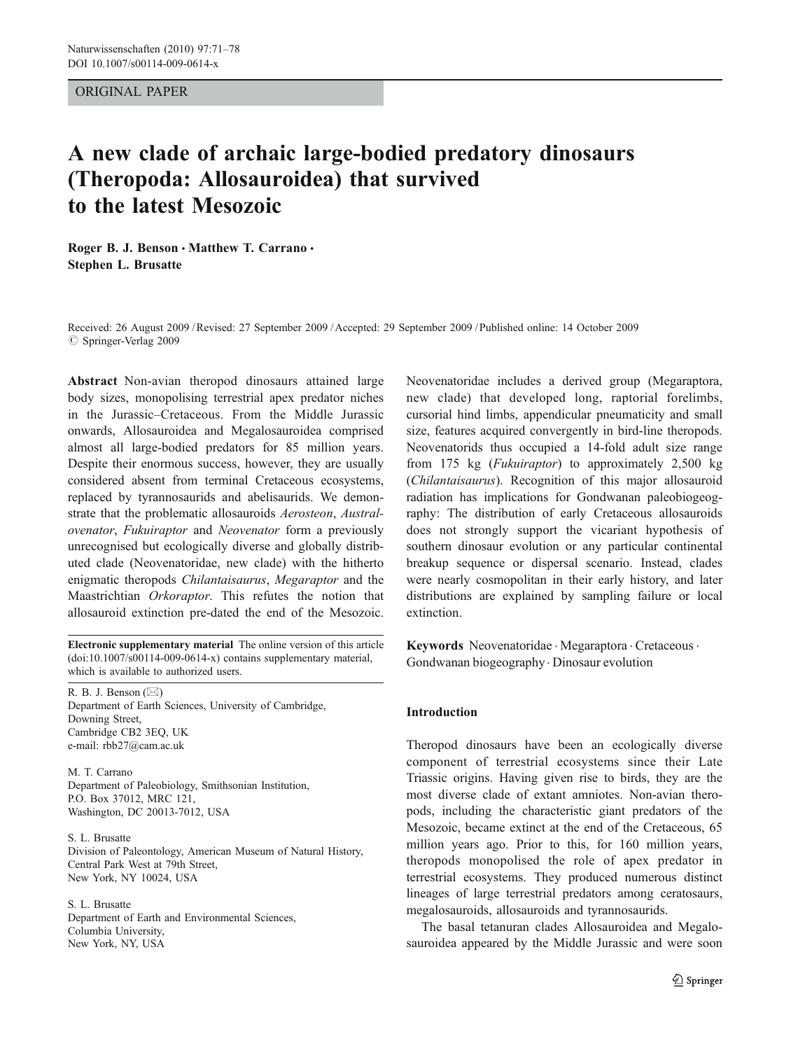## ORIGINAL PAPER

# A new clade of archaic large-bodied predatory dinosaurs (Theropoda: Allosauroidea) that survived to the latest Mesozoic

Roger B. J. Benson · Matthew T. Carrano · Stephen L. Brusatte

Received: 26 August 2009 /Revised: 27 September 2009 /Accepted: 29 September 2009 / Published online: 14 October 2009  $\oslash$  Springer-Verlag 2009

Abstract Non-avian theropod dinosaurs attained large body sizes, monopolising terrestrial apex predator niches in the Jurassic–Cretaceous. From the Middle Jurassic onwards, Allosauroidea and Megalosauroidea comprised almost all large-bodied predators for 85 million years. Despite their enormous success, however, they are usually considered absent from terminal Cretaceous ecosystems, replaced by tyrannosaurids and abelisaurids. We demonstrate that the problematic allosauroids Aerosteon, Australovenator, Fukuiraptor and Neovenator form a previously unrecognised but ecologically diverse and globally distributed clade (Neovenatoridae, new clade) with the hitherto enigmatic theropods Chilantaisaurus, Megaraptor and the Maastrichtian Orkoraptor. This refutes the notion that allosauroid extinction pre-dated the end of the Mesozoic.

Electronic supplementary material The online version of this article (doi:[10.1007/s00114-009-0614-x\)](http://dx.doi.org/10.1007/s00114-009-0614-x) contains supplementary material, which is available to authorized users.

R. B. J. Benson (*\**) Department of Earth Sciences, University of Cambridge, Downing Street, Cambridge CB2 3EQ, UK e-mail: rbb27@cam.ac.uk

M. T. Carrano Department of Paleobiology, Smithsonian Institution, P.O. Box 37012, MRC 121, Washington, DC 20013-7012, USA

S. L. Brusatte Division of Paleontology, American Museum of Natural History, Central Park West at 79th Street, New York, NY 10024, USA

S. L. Brusatte Department of Earth and Environmental Sciences, Columbia University, New York, NY, USA

Neovenatoridae includes a derived group (Megaraptora, new clade) that developed long, raptorial forelimbs, cursorial hind limbs, appendicular pneumaticity and small size, features acquired convergently in bird-line theropods. Neovenatorids thus occupied a 14-fold adult size range from 175 kg (Fukuiraptor) to approximately 2,500 kg (Chilantaisaurus). Recognition of this major allosauroid radiation has implications for Gondwanan paleobiogeography: The distribution of early Cretaceous allosauroids does not strongly support the vicariant hypothesis of southern dinosaur evolution or any particular continental breakup sequence or dispersal scenario. Instead, clades were nearly cosmopolitan in their early history, and later distributions are explained by sampling failure or local extinction.

Keywords Neovenatoridae · Megaraptora · Cretaceous · Gondwanan biogeography . Dinosaur evolution

#### Introduction

Theropod dinosaurs have been an ecologically diverse component of terrestrial ecosystems since their Late Triassic origins. Having given rise to birds, they are the most diverse clade of extant amniotes. Non-avian theropods, including the characteristic giant predators of the Mesozoic, became extinct at the end of the Cretaceous, 65 million years ago. Prior to this, for 160 million years, theropods monopolised the role of apex predator in terrestrial ecosystems. They produced numerous distinct lineages of large terrestrial predators among ceratosaurs, megalosauroids, allosauroids and tyrannosaurids.

The basal tetanuran clades Allosauroidea and Megalosauroidea appeared by the Middle Jurassic and were soon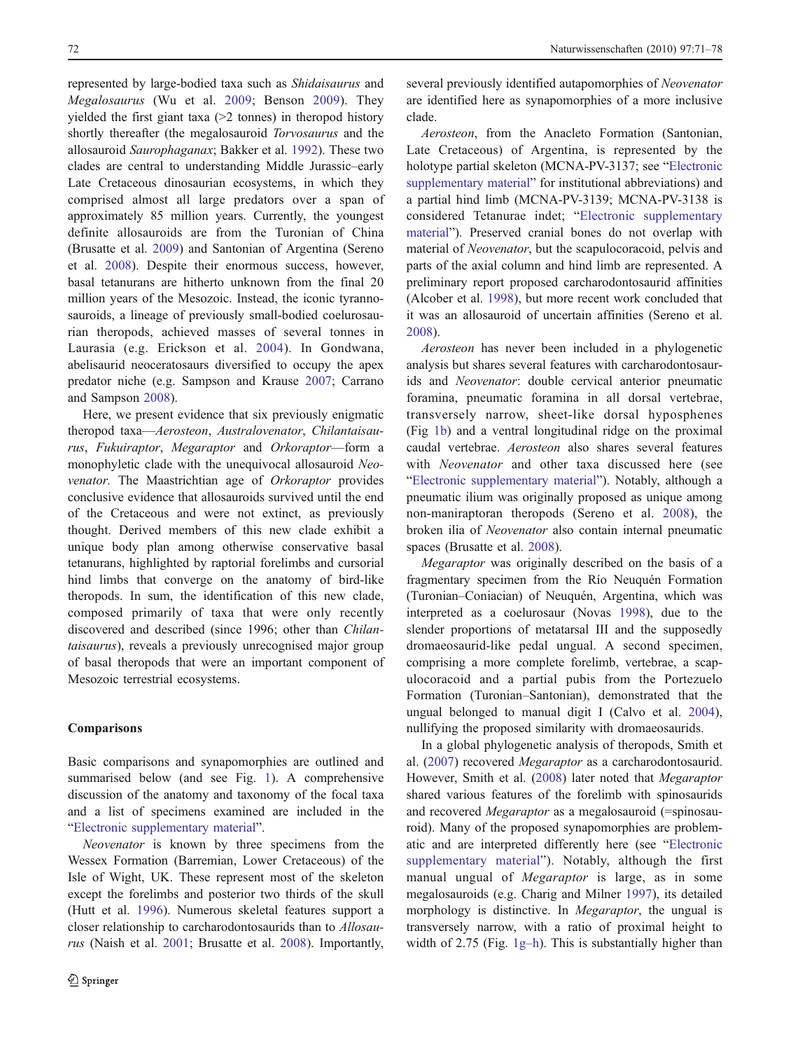represented by large-bodied taxa such as Shidaisaurus and Megalosaurus (Wu et al. [2009;](#page-7-0) Benson [2009](#page-7-0)). They yielded the first giant taxa (>2 tonnes) in theropod history shortly thereafter (the megalosauroid *Torvosaurus* and the allosauroid Saurophaganax; Bakker et al. [1992](#page-7-0)). These two clades are central to understanding Middle Jurassic–early Late Cretaceous dinosaurian ecosystems, in which they comprised almost all large predators over a span of approximately 85 million years. Currently, the youngest definite allosauroids are from the Turonian of China (Brusatte et al. [2009\)](#page-7-0) and Santonian of Argentina (Sereno et al. [2008](#page-7-0)). Despite their enormous success, however, basal tetanurans are hitherto unknown from the final 20 million years of the Mesozoic. Instead, the iconic tyrannosauroids, a lineage of previously small-bodied coelurosaurian theropods, achieved masses of several tonnes in Laurasia (e.g. Erickson et al. [2004\)](#page-7-0). In Gondwana, abelisaurid neoceratosaurs diversified to occupy the apex predator niche (e.g. Sampson and Krause [2007;](#page-7-0) Carrano and Sampson [2008](#page-7-0)).

Here, we present evidence that six previously enigmatic theropod taxa—Aerosteon, Australovenator, Chilantaisaurus, Fukuiraptor, Megaraptor and Orkoraptor—form a monophyletic clade with the unequivocal allosauroid Neovenator. The Maastrichtian age of Orkoraptor provides conclusive evidence that allosauroids survived until the end of the Cretaceous and were not extinct, as previously thought. Derived members of this new clade exhibit a unique body plan among otherwise conservative basal tetanurans, highlighted by raptorial forelimbs and cursorial hind limbs that converge on the anatomy of bird-like theropods. In sum, the identification of this new clade, composed primarily of taxa that were only recently discovered and described (since 1996; other than Chilantaisaurus), reveals a previously unrecognised major group of basal theropods that were an important component of Mesozoic terrestrial ecosystems.

## Comparisons

Basic comparisons and synapomorphies are outlined and summarised below (and see Fig. [1](#page-2-0)). A comprehensive discussion of the anatomy and taxonomy of the focal taxa and a list of specimens examined are included in the "Electronic supplementary material".

Neovenator is known by three specimens from the Wessex Formation (Barremian, Lower Cretaceous) of the Isle of Wight, UK. These represent most of the skeleton except the forelimbs and posterior two thirds of the skull (Hutt et al. [1996\)](#page-7-0). Numerous skeletal features support a closer relationship to carcharodontosaurids than to Allosaurus (Naish et al. [2001;](#page-7-0) Brusatte et al. [2008\)](#page-7-0). Importantly, several previously identified autapomorphies of Neovenator are identified here as synapomorphies of a more inclusive clade.

Aerosteon, from the Anacleto Formation (Santonian, Late Cretaceous) of Argentina, is represented by the holotype partial skeleton (MCNA-PV-3137; see "Electronic supplementary material" for institutional abbreviations) and a partial hind limb (MCNA-PV-3139; MCNA-PV-3138 is considered Tetanurae indet; "Electronic supplementary material"). Preserved cranial bones do not overlap with material of Neovenator, but the scapulocoracoid, pelvis and parts of the axial column and hind limb are represented. A preliminary report proposed carcharodontosaurid affinities (Alcober et al. [1998](#page-7-0)), but more recent work concluded that it was an allosauroid of uncertain affinities (Sereno et al. [2008](#page-7-0)).

Aerosteon has never been included in a phylogenetic analysis but shares several features with carcharodontosaurids and Neovenator: double cervical anterior pneumatic foramina, pneumatic foramina in all dorsal vertebrae, transversely narrow, sheet-like dorsal hyposphenes (Fig [1b\)](#page-2-0) and a ventral longitudinal ridge on the proximal caudal vertebrae. Aerosteon also shares several features with Neovenator and other taxa discussed here (see "Electronic supplementary material"). Notably, although a pneumatic ilium was originally proposed as unique among non-maniraptoran theropods (Sereno et al. [2008\)](#page-7-0), the broken ilia of Neovenator also contain internal pneumatic spaces (Brusatte et al. [2008\)](#page-7-0).

Megaraptor was originally described on the basis of a fragmentary specimen from the Río Neuquén Formation (Turonian–Coniacian) of Neuquén, Argentina, which was interpreted as a coelurosaur (Novas [1998](#page-7-0)), due to the slender proportions of metatarsal III and the supposedly dromaeosaurid-like pedal ungual. A second specimen, comprising a more complete forelimb, vertebrae, a scapulocoracoid and a partial pubis from the Portezuelo Formation (Turonian–Santonian), demonstrated that the ungual belonged to manual digit I (Calvo et al. [2004\)](#page-7-0), nullifying the proposed similarity with dromaeosaurids.

In a global phylogenetic analysis of theropods, Smith et al. [\(2007](#page-7-0)) recovered Megaraptor as a carcharodontosaurid. However, Smith et al. ([2008](#page-7-0)) later noted that Megaraptor shared various features of the forelimb with spinosaurids and recovered Megaraptor as a megalosauroid (=spinosauroid). Many of the proposed synapomorphies are problematic and are interpreted differently here (see "Electronic supplementary material"). Notably, although the first manual ungual of Megaraptor is large, as in some megalosauroids (e.g. Charig and Milner [1997](#page-7-0)), its detailed morphology is distinctive. In Megaraptor, the ungual is transversely narrow, with a ratio of proximal height to width of 2.75 (Fig. [1g](#page-2-0)–h). This is substantially higher than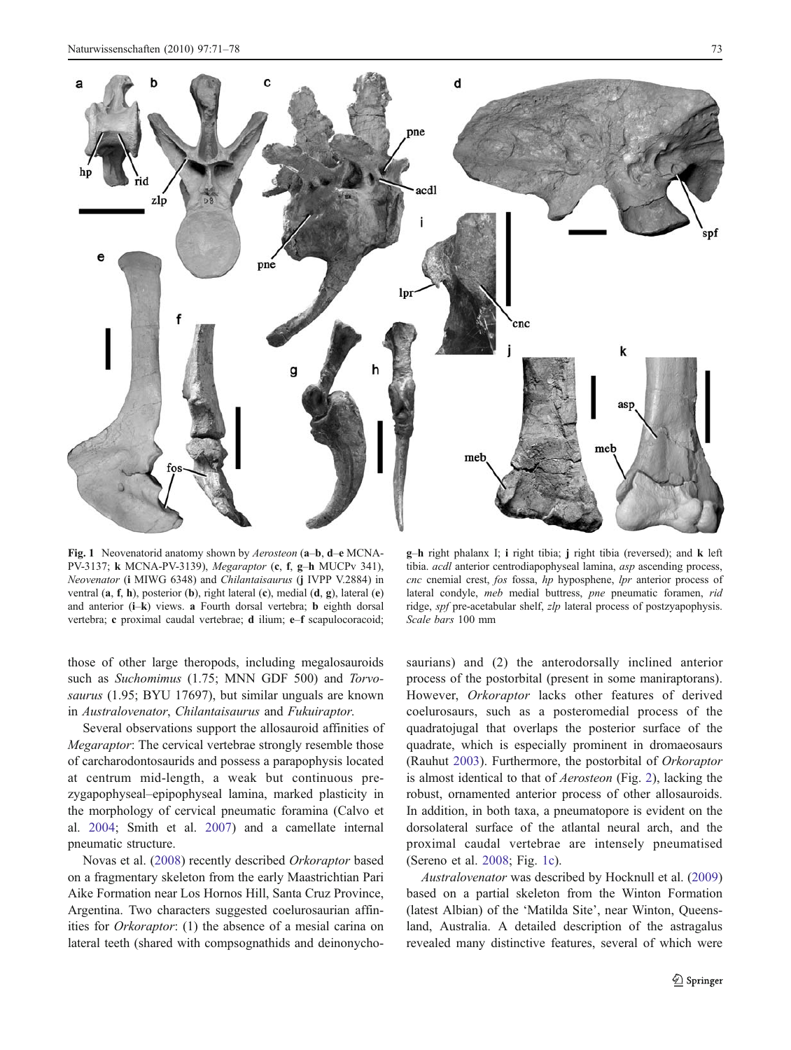<span id="page-2-0"></span>

Fig. 1 Neovenatorid anatomy shown by Aerosteon (a–b, d–e MCNA-PV-3137; k MCNA-PV-3139), Megaraptor (c, f, g–h MUCPv 341), Neovenator (i MIWG 6348) and Chilantaisaurus (j IVPP V.2884) in ventral (a, f, h), posterior (b), right lateral (c), medial (d, g), lateral (e) and anterior (i-k) views. a Fourth dorsal vertebra; b eighth dorsal vertebra; c proximal caudal vertebrae; d ilium; e–f scapulocoracoid;

those of other large theropods, including megalosauroids such as Suchomimus (1.75; MNN GDF 500) and Torvosaurus (1.95; BYU 17697), but similar unguals are known in Australovenator, Chilantaisaurus and Fukuiraptor.

Several observations support the allosauroid affinities of Megaraptor: The cervical vertebrae strongly resemble those of carcharodontosaurids and possess a parapophysis located at centrum mid-length, a weak but continuous prezygapophyseal–epipophyseal lamina, marked plasticity in the morphology of cervical pneumatic foramina (Calvo et al. [2004;](#page-7-0) Smith et al. [2007\)](#page-7-0) and a camellate internal pneumatic structure.

Novas et al. [\(2008](#page-7-0)) recently described Orkoraptor based on a fragmentary skeleton from the early Maastrichtian Pari Aike Formation near Los Hornos Hill, Santa Cruz Province, Argentina. Two characters suggested coelurosaurian affinities for Orkoraptor: (1) the absence of a mesial carina on lateral teeth (shared with compsognathids and deinonycho-

g–h right phalanx I; i right tibia; j right tibia (reversed); and k left tibia. acdl anterior centrodiapophyseal lamina, asp ascending process, cnc cnemial crest, fos fossa, hp hyposphene, lpr anterior process of lateral condyle, meb medial buttress, pne pneumatic foramen, rid ridge, spf pre-acetabular shelf, zlp lateral process of postzyapophysis. Scale bars 100 mm

saurians) and (2) the anterodorsally inclined anterior process of the postorbital (present in some maniraptorans). However, Orkoraptor lacks other features of derived coelurosaurs, such as a posteromedial process of the quadratojugal that overlaps the posterior surface of the quadrate, which is especially prominent in dromaeosaurs (Rauhut [2003](#page-7-0)). Furthermore, the postorbital of Orkoraptor is almost identical to that of Aerosteon (Fig. [2](#page-3-0)), lacking the robust, ornamented anterior process of other allosauroids. In addition, in both taxa, a pneumatopore is evident on the dorsolateral surface of the atlantal neural arch, and the proximal caudal vertebrae are intensely pneumatised (Sereno et al. [2008](#page-7-0); Fig. 1c).

Australovenator was described by Hocknull et al. [\(2009](#page-7-0)) based on a partial skeleton from the Winton Formation (latest Albian) of the 'Matilda Site', near Winton, Queensland, Australia. A detailed description of the astragalus revealed many distinctive features, several of which were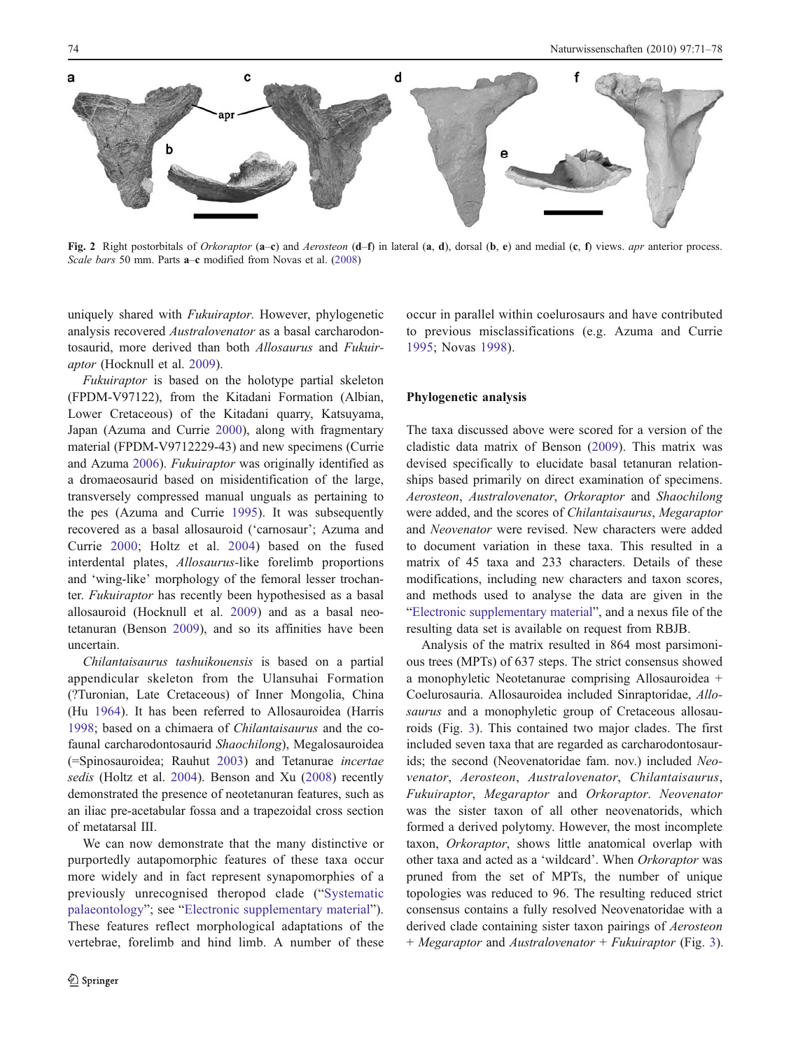<span id="page-3-0"></span>

Fig. 2 Right postorbitals of Orkoraptor (a–c) and Aerosteon (d–f) in lateral (a, d), dorsal (b, e) and medial (c, f) views. apr anterior process. Scale bars 50 mm. Parts a–c modified from Novas et al. [\(2008](#page-7-0))

uniquely shared with Fukuiraptor. However, phylogenetic analysis recovered Australovenator as a basal carcharodontosaurid, more derived than both Allosaurus and Fukuiraptor (Hocknull et al. [2009](#page-7-0)).

Fukuiraptor is based on the holotype partial skeleton (FPDM-V97122), from the Kitadani Formation (Albian, Lower Cretaceous) of the Kitadani quarry, Katsuyama, Japan (Azuma and Currie [2000](#page-7-0)), along with fragmentary material (FPDM-V9712229-43) and new specimens (Currie and Azuma [2006](#page-7-0)). Fukuiraptor was originally identified as a dromaeosaurid based on misidentification of the large, transversely compressed manual unguals as pertaining to the pes (Azuma and Currie [1995](#page-7-0)). It was subsequently recovered as a basal allosauroid ('carnosaur'; Azuma and Currie [2000;](#page-7-0) Holtz et al. [2004](#page-7-0)) based on the fused interdental plates, Allosaurus-like forelimb proportions and 'wing-like' morphology of the femoral lesser trochanter. Fukuiraptor has recently been hypothesised as a basal allosauroid (Hocknull et al. [2009\)](#page-7-0) and as a basal neotetanuran (Benson [2009](#page-7-0)), and so its affinities have been uncertain.

Chilantaisaurus tashuikouensis is based on a partial appendicular skeleton from the Ulansuhai Formation (?Turonian, Late Cretaceous) of Inner Mongolia, China (Hu [1964](#page-7-0)). It has been referred to Allosauroidea (Harris [1998;](#page-7-0) based on a chimaera of Chilantaisaurus and the cofaunal carcharodontosaurid Shaochilong), Megalosauroidea (=Spinosauroidea; Rauhut [2003\)](#page-7-0) and Tetanurae incertae sedis (Holtz et al. [2004\)](#page-7-0). Benson and Xu [\(2008](#page-7-0)) recently demonstrated the presence of neotetanuran features, such as an iliac pre-acetabular fossa and a trapezoidal cross section of metatarsal III.

We can now demonstrate that the many distinctive or purportedly autapomorphic features of these taxa occur more widely and in fact represent synapomorphies of a previously unrecognised theropod clade ("[Systematic](#page-4-0) [palaeontology](#page-4-0)"; see "Electronic supplementary material"). These features reflect morphological adaptations of the vertebrae, forelimb and hind limb. A number of these occur in parallel within coelurosaurs and have contributed to previous misclassifications (e.g. Azuma and Currie [1995](#page-7-0); Novas [1998](#page-7-0)).

## Phylogenetic analysis

The taxa discussed above were scored for a version of the cladistic data matrix of Benson ([2009\)](#page-7-0). This matrix was devised specifically to elucidate basal tetanuran relationships based primarily on direct examination of specimens. Aerosteon, Australovenator, Orkoraptor and Shaochilong were added, and the scores of Chilantaisaurus, Megaraptor and Neovenator were revised. New characters were added to document variation in these taxa. This resulted in a matrix of 45 taxa and 233 characters. Details of these modifications, including new characters and taxon scores, and methods used to analyse the data are given in the "Electronic supplementary material", and a nexus file of the resulting data set is available on request from RBJB.

Analysis of the matrix resulted in 864 most parsimonious trees (MPTs) of 637 steps. The strict consensus showed a monophyletic Neotetanurae comprising Allosauroidea + Coelurosauria. Allosauroidea included Sinraptoridae, Allosaurus and a monophyletic group of Cretaceous allosauroids (Fig. [3\)](#page-4-0). This contained two major clades. The first included seven taxa that are regarded as carcharodontosaurids; the second (Neovenatoridae fam. nov.) included Neovenator, Aerosteon, Australovenator, Chilantaisaurus, Fukuiraptor, Megaraptor and Orkoraptor. Neovenator was the sister taxon of all other neovenatorids, which formed a derived polytomy. However, the most incomplete taxon, Orkoraptor, shows little anatomical overlap with other taxa and acted as a 'wildcard'. When Orkoraptor was pruned from the set of MPTs, the number of unique topologies was reduced to 96. The resulting reduced strict consensus contains a fully resolved Neovenatoridae with a derived clade containing sister taxon pairings of Aerosteon + Megaraptor and Australovenator + Fukuiraptor (Fig. [3](#page-4-0)).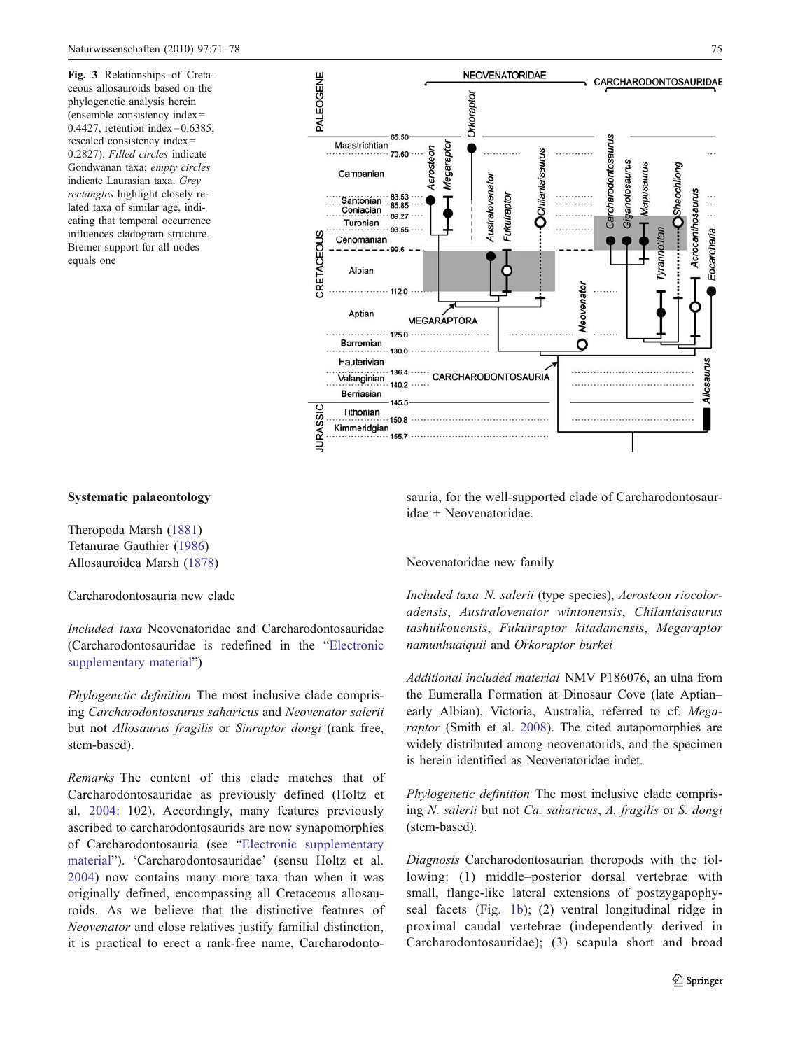<span id="page-4-0"></span>Fig. 3 Relationships of Cretaceous allosauroids based on the phylogenetic analysis herein (ensemble consistency index= 0.4427, retention index=0.6385, rescaled consistency index= 0.2827). Filled circles indicate Gondwanan taxa; empty circles indicate Laurasian taxa. Grey rectangles highlight closely related taxa of similar age, indicating that temporal occurrence influences cladogram structure. Bremer support for all nodes equals one



# Systematic palaeontology

Theropoda Marsh [\(1881\)](#page-7-0) Tetanurae Gauthier [\(1986](#page-7-0)) Allosauroidea Marsh ([1878](#page-7-0))

Carcharodontosauria new clade

Included taxa Neovenatoridae and Carcharodontosauridae (Carcharodontosauridae is redefined in the "Electronic supplementary material")

Phylogenetic definition The most inclusive clade comprising Carcharodontosaurus saharicus and Neovenator salerii but not Allosaurus fragilis or Sinraptor dongi (rank free, stem-based).

Remarks The content of this clade matches that of Carcharodontosauridae as previously defined (Holtz et al. [2004:](#page-7-0) 102). Accordingly, many features previously ascribed to carcharodontosaurids are now synapomorphies of Carcharodontosauria (see "Electronic supplementary material"). 'Carcharodontosauridae' (sensu Holtz et al. [2004](#page-7-0)) now contains many more taxa than when it was originally defined, encompassing all Cretaceous allosauroids. As we believe that the distinctive features of Neovenator and close relatives justify familial distinction, it is practical to erect a rank-free name, Carcharodontosauria, for the well-supported clade of Carcharodontosauridae + Neovenatoridae.

#### Neovenatoridae new family

Included taxa N. salerii (type species), Aerosteon riocoloradensis, Australovenator wintonensis, Chilantaisaurus tashuikouensis, Fukuiraptor kitadanensis, Megaraptor namunhuaiquii and Orkoraptor burkei

Additional included material NMV P186076, an ulna from the Eumeralla Formation at Dinosaur Cove (late Aptian– early Albian), Victoria, Australia, referred to cf. Megaraptor (Smith et al. [2008\)](#page-7-0). The cited autapomorphies are widely distributed among neovenatorids, and the specimen is herein identified as Neovenatoridae indet.

Phylogenetic definition The most inclusive clade comprising N. salerii but not Ca. saharicus, A. fragilis or S. dongi (stem-based).

Diagnosis Carcharodontosaurian theropods with the following: (1) middle–posterior dorsal vertebrae with small, flange-like lateral extensions of postzygapophyseal facets (Fig. [1b](#page-2-0)); (2) ventral longitudinal ridge in proximal caudal vertebrae (independently derived in Carcharodontosauridae); (3) scapula short and broad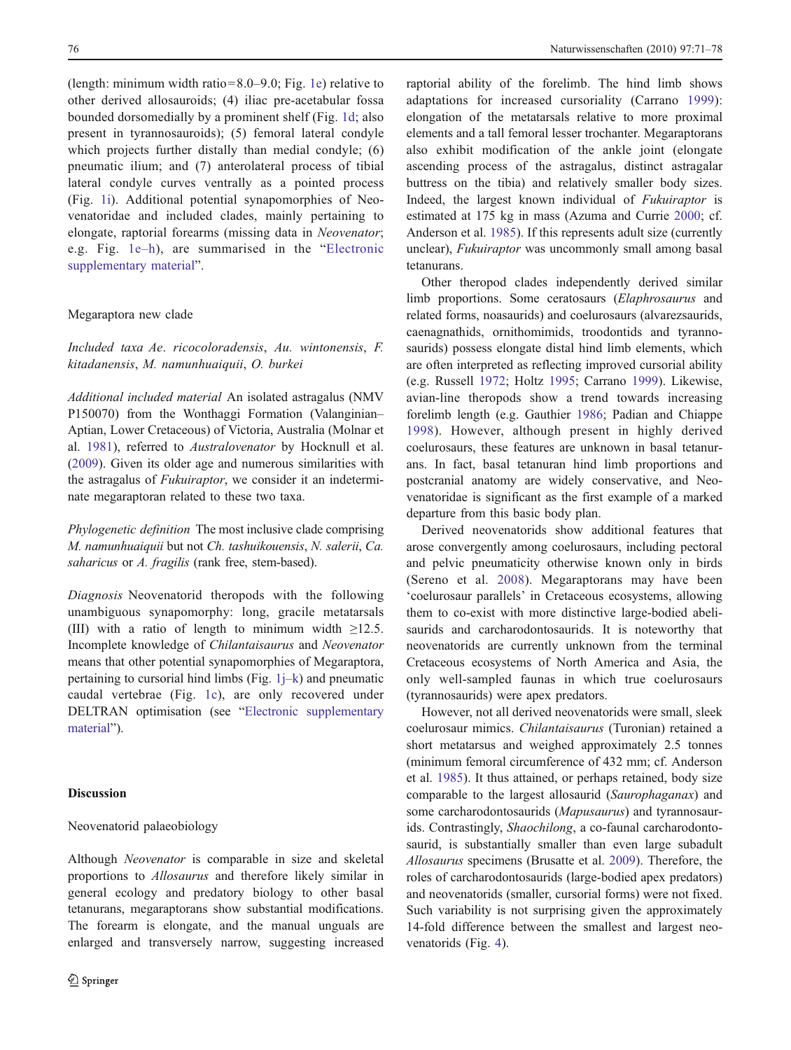(length: minimum width ratio=8.0–9.0; Fig. [1e\)](#page-2-0) relative to other derived allosauroids; (4) iliac pre-acetabular fossa bounded dorsomedially by a prominent shelf (Fig. [1d;](#page-2-0) also present in tyrannosauroids); (5) femoral lateral condyle which projects further distally than medial condyle; (6) pneumatic ilium; and (7) anterolateral process of tibial lateral condyle curves ventrally as a pointed process (Fig. [1i\)](#page-2-0). Additional potential synapomorphies of Neovenatoridae and included clades, mainly pertaining to elongate, raptorial forearms (missing data in Neovenator; e.g. Fig. [1e](#page-2-0)–h), are summarised in the "Electronic supplementary material".

## Megaraptora new clade

Included taxa Ae. ricocoloradensis, Au. wintonensis, F. kitadanensis, M. namunhuaiquii, O. burkei

Additional included material An isolated astragalus (NMV P150070) from the Wonthaggi Formation (Valanginian– Aptian, Lower Cretaceous) of Victoria, Australia (Molnar et al. [1981](#page-7-0)), referred to Australovenator by Hocknull et al. [\(2009](#page-7-0)). Given its older age and numerous similarities with the astragalus of Fukuiraptor, we consider it an indeterminate megaraptoran related to these two taxa.

Phylogenetic definition The most inclusive clade comprising M. namunhuaiquii but not Ch. tashuikouensis, N. salerii, Ca. saharicus or A. fragilis (rank free, stem-based).

Diagnosis Neovenatorid theropods with the following unambiguous synapomorphy: long, gracile metatarsals (III) with a ratio of length to minimum width  $\geq$ 12.5. Incomplete knowledge of Chilantaisaurus and Neovenator means that other potential synapomorphies of Megaraptora, pertaining to cursorial hind limbs (Fig.  $1j-k$  $1j-k$ ) and pneumatic caudal vertebrae (Fig. [1c\)](#page-2-0), are only recovered under DELTRAN optimisation (see "Electronic supplementary material").

## Discussion

## Neovenatorid palaeobiology

Although Neovenator is comparable in size and skeletal proportions to Allosaurus and therefore likely similar in general ecology and predatory biology to other basal tetanurans, megaraptorans show substantial modifications. The forearm is elongate, and the manual unguals are enlarged and transversely narrow, suggesting increased raptorial ability of the forelimb. The hind limb shows adaptations for increased cursoriality (Carrano [1999](#page-7-0)): elongation of the metatarsals relative to more proximal elements and a tall femoral lesser trochanter. Megaraptorans also exhibit modification of the ankle joint (elongate ascending process of the astragalus, distinct astragalar buttress on the tibia) and relatively smaller body sizes. Indeed, the largest known individual of Fukuiraptor is estimated at 175 kg in mass (Azuma and Currie [2000;](#page-7-0) cf. Anderson et al. [1985\)](#page-7-0). If this represents adult size (currently unclear), Fukuiraptor was uncommonly small among basal tetanurans.

Other theropod clades independently derived similar limb proportions. Some ceratosaurs (Elaphrosaurus and related forms, noasaurids) and coelurosaurs (alvarezsaurids, caenagnathids, ornithomimids, troodontids and tyrannosaurids) possess elongate distal hind limb elements, which are often interpreted as reflecting improved cursorial ability (e.g. Russell [1972;](#page-7-0) Holtz [1995](#page-7-0); Carrano [1999\)](#page-7-0). Likewise, avian-line theropods show a trend towards increasing forelimb length (e.g. Gauthier [1986](#page-7-0); Padian and Chiappe [1998\)](#page-7-0). However, although present in highly derived coelurosaurs, these features are unknown in basal tetanurans. In fact, basal tetanuran hind limb proportions and postcranial anatomy are widely conservative, and Neovenatoridae is significant as the first example of a marked departure from this basic body plan.

Derived neovenatorids show additional features that arose convergently among coelurosaurs, including pectoral and pelvic pneumaticity otherwise known only in birds (Sereno et al. [2008](#page-7-0)). Megaraptorans may have been 'coelurosaur parallels' in Cretaceous ecosystems, allowing them to co-exist with more distinctive large-bodied abelisaurids and carcharodontosaurids. It is noteworthy that neovenatorids are currently unknown from the terminal Cretaceous ecosystems of North America and Asia, the only well-sampled faunas in which true coelurosaurs (tyrannosaurids) were apex predators.

However, not all derived neovenatorids were small, sleek coelurosaur mimics. Chilantaisaurus (Turonian) retained a short metatarsus and weighed approximately 2.5 tonnes (minimum femoral circumference of 432 mm; cf. Anderson et al. [1985](#page-7-0)). It thus attained, or perhaps retained, body size comparable to the largest allosaurid (Saurophaganax) and some carcharodontosaurids (Mapusaurus) and tyrannosaurids. Contrastingly, Shaochilong, a co-faunal carcharodontosaurid, is substantially smaller than even large subadult Allosaurus specimens (Brusatte et al. [2009\)](#page-7-0). Therefore, the roles of carcharodontosaurids (large-bodied apex predators) and neovenatorids (smaller, cursorial forms) were not fixed. Such variability is not surprising given the approximately 14-fold difference between the smallest and largest neovenatorids (Fig. [4\)](#page-6-0).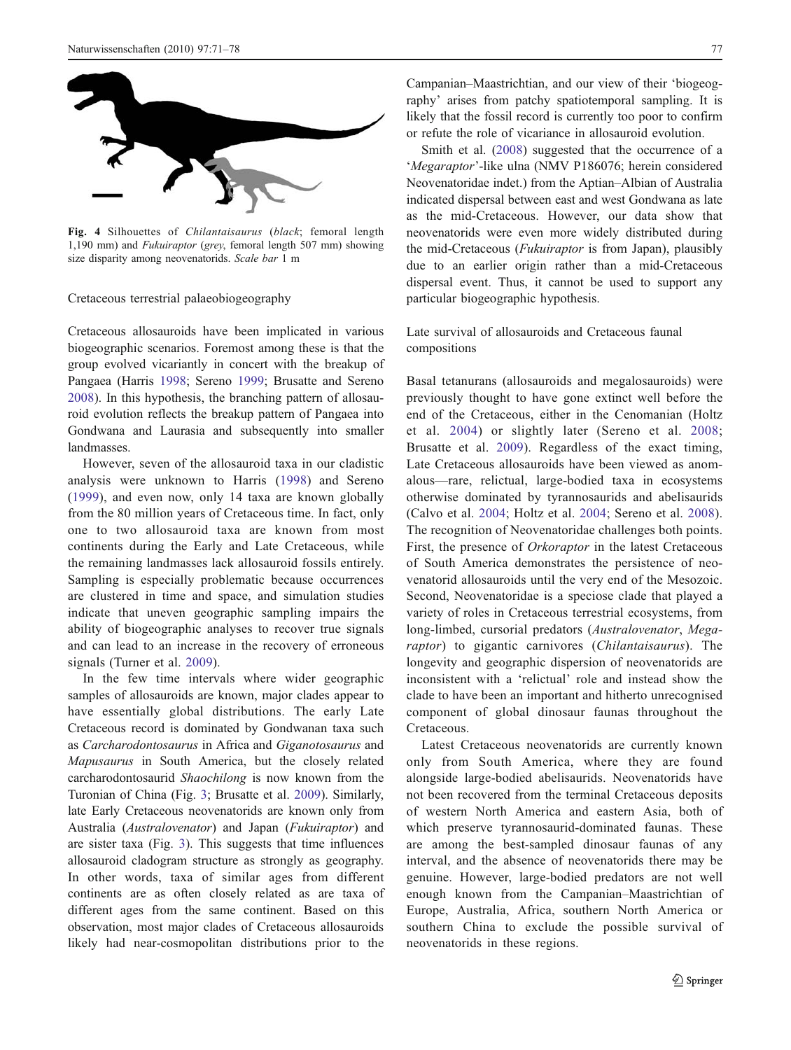<span id="page-6-0"></span>

Fig. 4 Silhouettes of Chilantaisaurus (black; femoral length 1,190 mm) and Fukuiraptor (grey, femoral length 507 mm) showing size disparity among neovenatorids. Scale bar 1 m

Cretaceous terrestrial palaeobiogeography

Cretaceous allosauroids have been implicated in various biogeographic scenarios. Foremost among these is that the group evolved vicariantly in concert with the breakup of Pangaea (Harris [1998](#page-7-0); Sereno [1999;](#page-7-0) Brusatte and Sereno [2008\)](#page-7-0). In this hypothesis, the branching pattern of allosauroid evolution reflects the breakup pattern of Pangaea into Gondwana and Laurasia and subsequently into smaller landmasses.

However, seven of the allosauroid taxa in our cladistic analysis were unknown to Harris ([1998](#page-7-0)) and Sereno [\(1999\)](#page-7-0), and even now, only 14 taxa are known globally from the 80 million years of Cretaceous time. In fact, only one to two allosauroid taxa are known from most continents during the Early and Late Cretaceous, while the remaining landmasses lack allosauroid fossils entirely. Sampling is especially problematic because occurrences are clustered in time and space, and simulation studies indicate that uneven geographic sampling impairs the ability of biogeographic analyses to recover true signals and can lead to an increase in the recovery of erroneous signals (Turner et al. [2009](#page-7-0)).

In the few time intervals where wider geographic samples of allosauroids are known, major clades appear to have essentially global distributions. The early Late Cretaceous record is dominated by Gondwanan taxa such as Carcharodontosaurus in Africa and Giganotosaurus and Mapusaurus in South America, but the closely related carcharodontosaurid Shaochilong is now known from the Turonian of China (Fig. [3](#page-4-0); Brusatte et al. [2009\)](#page-7-0). Similarly, late Early Cretaceous neovenatorids are known only from Australia (Australovenator) and Japan (Fukuiraptor) and are sister taxa (Fig. [3\)](#page-4-0). This suggests that time influences allosauroid cladogram structure as strongly as geography. In other words, taxa of similar ages from different continents are as often closely related as are taxa of different ages from the same continent. Based on this observation, most major clades of Cretaceous allosauroids likely had near-cosmopolitan distributions prior to the

Campanian–Maastrichtian, and our view of their 'biogeography' arises from patchy spatiotemporal sampling. It is likely that the fossil record is currently too poor to confirm or refute the role of vicariance in allosauroid evolution.

Smith et al. ([2008\)](#page-7-0) suggested that the occurrence of a 'Megaraptor'-like ulna (NMV P186076; herein considered Neovenatoridae indet.) from the Aptian–Albian of Australia indicated dispersal between east and west Gondwana as late as the mid-Cretaceous. However, our data show that neovenatorids were even more widely distributed during the mid-Cretaceous (Fukuiraptor is from Japan), plausibly due to an earlier origin rather than a mid-Cretaceous dispersal event. Thus, it cannot be used to support any particular biogeographic hypothesis.

Late survival of allosauroids and Cretaceous faunal compositions

Basal tetanurans (allosauroids and megalosauroids) were previously thought to have gone extinct well before the end of the Cretaceous, either in the Cenomanian (Holtz et al. [2004](#page-7-0)) or slightly later (Sereno et al. [2008;](#page-7-0) Brusatte et al. [2009](#page-7-0)). Regardless of the exact timing, Late Cretaceous allosauroids have been viewed as anomalous—rare, relictual, large-bodied taxa in ecosystems otherwise dominated by tyrannosaurids and abelisaurids (Calvo et al. [2004](#page-7-0); Holtz et al. [2004;](#page-7-0) Sereno et al. [2008](#page-7-0)). The recognition of Neovenatoridae challenges both points. First, the presence of Orkoraptor in the latest Cretaceous of South America demonstrates the persistence of neovenatorid allosauroids until the very end of the Mesozoic. Second, Neovenatoridae is a speciose clade that played a variety of roles in Cretaceous terrestrial ecosystems, from long-limbed, cursorial predators (Australovenator, Megaraptor) to gigantic carnivores (Chilantaisaurus). The longevity and geographic dispersion of neovenatorids are inconsistent with a 'relictual' role and instead show the clade to have been an important and hitherto unrecognised component of global dinosaur faunas throughout the Cretaceous.

Latest Cretaceous neovenatorids are currently known only from South America, where they are found alongside large-bodied abelisaurids. Neovenatorids have not been recovered from the terminal Cretaceous deposits of western North America and eastern Asia, both of which preserve tyrannosaurid-dominated faunas. These are among the best-sampled dinosaur faunas of any interval, and the absence of neovenatorids there may be genuine. However, large-bodied predators are not well enough known from the Campanian–Maastrichtian of Europe, Australia, Africa, southern North America or southern China to exclude the possible survival of neovenatorids in these regions.